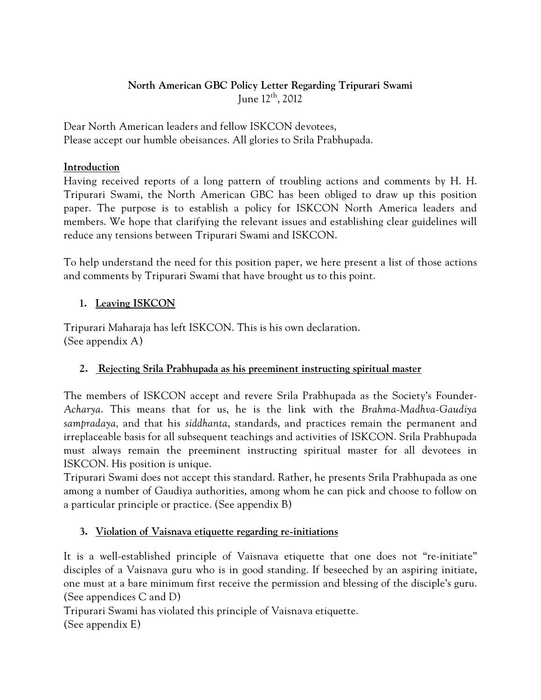# **North American GBC Policy Letter Regarding Tripurari Swami**  June 12th, 2012

Dear North American leaders and fellow ISKCON devotees, Please accept our humble obeisances. All glories to Srila Prabhupada.

### **Introduction**

Having received reports of a long pattern of troubling actions and comments by H. H. Tripurari Swami, the North American GBC has been obliged to draw up this position paper. The purpose is to establish a policy for ISKCON North America leaders and members. We hope that clarifying the relevant issues and establishing clear guidelines will reduce any tensions between Tripurari Swami and ISKCON.

To help understand the need for this position paper, we here present a list of those actions and comments by Tripurari Swami that have brought us to this point.

# **1. Leaving ISKCON**

Tripurari Maharaja has left ISKCON. This is his own declaration. (See appendix A)

# **2. Rejecting Srila Prabhupada as his preeminent instructing spiritual master**

The members of ISKCON accept and revere Srila Prabhupada as the Society's Founder-*Acharya*. This means that for us, he is the link with the *Brahma-Madhva-Gaudiya sampradaya,* and that his *siddhanta*, standards, and practices remain the permanent and irreplaceable basis for all subsequent teachings and activities of ISKCON. Srila Prabhupada must always remain the preeminent instructing spiritual master for all devotees in ISKCON. His position is unique.

Tripurari Swami does not accept this standard. Rather, he presents Srila Prabhupada as one among a number of Gaudiya authorities, among whom he can pick and choose to follow on a particular principle or practice. (See appendix B)

### **3. Violation of Vaisnava etiquette regarding re-initiations**

It is a well-established principle of Vaisnava etiquette that one does not "re-initiate" disciples of a Vaisnava guru who is in good standing. If beseeched by an aspiring initiate, one must at a bare minimum first receive the permission and blessing of the disciple's guru. (See appendices C and D)

Tripurari Swami has violated this principle of Vaisnava etiquette.

(See appendix E)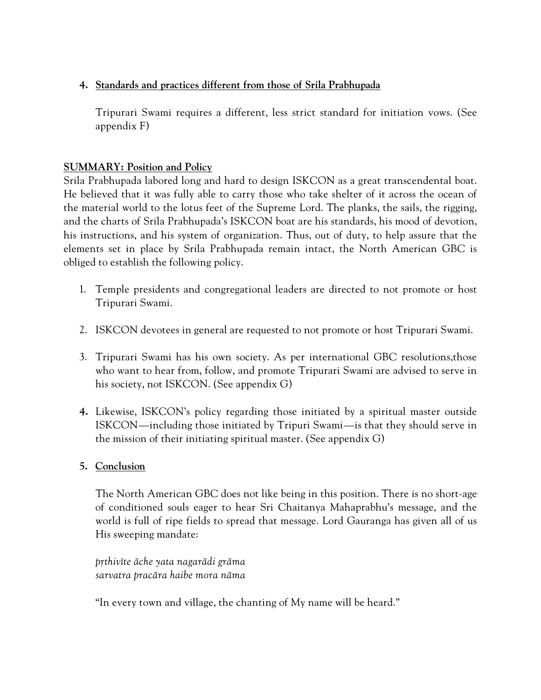### **4. Standards and practices different from those of Srila Prabhupada**

Tripurari Swami requires a different, less strict standard for initiation vows. (See appendix F)

# **SUMMARY: Position and Policy**

Srila Prabhupada labored long and hard to design ISKCON as a great transcendental boat. He believed that it was fully able to carry those who take shelter of it across the ocean of the material world to the lotus feet of the Supreme Lord. The planks, the sails, the rigging, and the charts of Srila Prabhupada's ISKCON boat are his standards, his mood of devotion, his instructions, and his system of organization. Thus, out of duty, to help assure that the elements set in place by Srila Prabhupada remain intact, the North American GBC is obliged to establish the following policy.

- 1. Temple presidents and congregational leaders are directed to not promote or host Tripurari Swami.
- 2. ISKCON devotees in general are requested to not promote or host Tripurari Swami.
- 3. Tripurari Swami has his own society. As per international GBC resolutions,those who want to hear from, follow, and promote Tripurari Swami are advised to serve in his society, not ISKCON. (See appendix G)
- **4.** Likewise, ISKCON's policy regarding those initiated by a spiritual master outside ISKCON—including those initiated by Tripuri Swami—is that they should serve in the mission of their initiating spiritual master. (See appendix G)
- **5. Conclusion**

The North American GBC does not like being in this position. There is no short-age of conditioned souls eager to hear Sri Chaitanya Mahaprabhu's message, and the world is full of ripe fields to spread that message. Lord Gauranga has given all of us His sweeping mandate:

*påthivéte äche yata nagarädi gräma sarvatra pracära haibe mora näma* 

"In every town and village, the chanting of My name will be heard."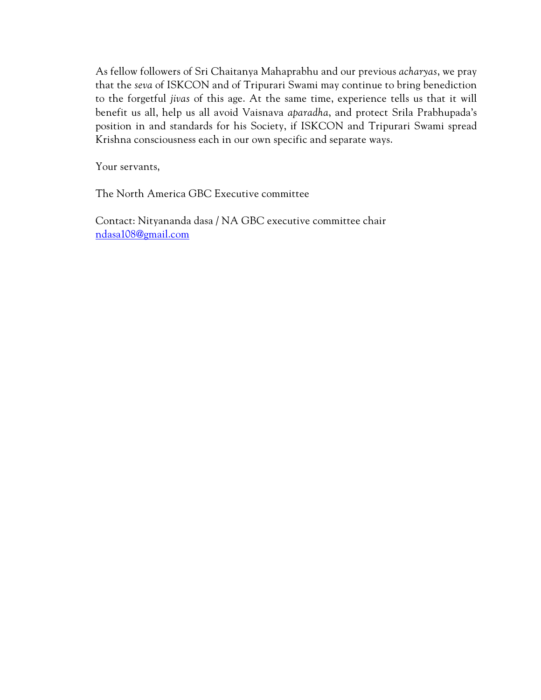As fellow followers of Sri Chaitanya Mahaprabhu and our previous *acharyas*, we pray that the *seva* of ISKCON and of Tripurari Swami may continue to bring benediction to the forgetful *jivas* of this age. At the same time, experience tells us that it will benefit us all, help us all avoid Vaisnava *aparadha*, and protect Srila Prabhupada's position in and standards for his Society, if ISKCON and Tripurari Swami spread Krishna consciousness each in our own specific and separate ways.

Your servants,

The North America GBC Executive committee

Contact: Nityananda dasa / NA GBC executive committee chair ndasa108@gmail.com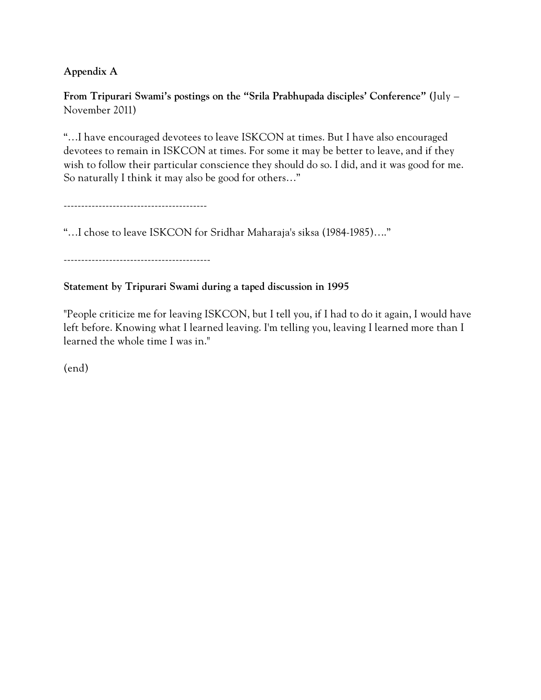# **Appendix A**

**From Tripurari Swami's postings on the "Srila Prabhupada disciples' Conference" (**July – November 2011)

"…I have encouraged devotees to leave ISKCON at times. But I have also encouraged devotees to remain in ISKCON at times. For some it may be better to leave, and if they wish to follow their particular conscience they should do so. I did, and it was good for me. So naturally I think it may also be good for others…"

-----------------------------------------

"…I chose to leave ISKCON for Sridhar Maharaja's siksa (1984-1985)…."

------------------------------------------

### **Statement by Tripurari Swami during a taped discussion in 1995**

"People criticize me for leaving ISKCON, but I tell you, if I had to do it again, I would have left before. Knowing what I learned leaving. I'm telling you, leaving I learned more than I learned the whole time I was in."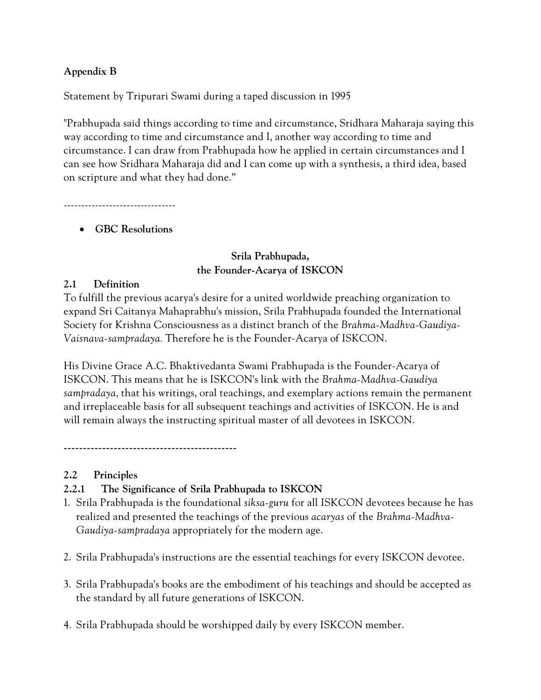### **Appendix B**

Statement by Tripurari Swami during a taped discussion in 1995

"Prabhupada said things according to time and circumstance, Sridhara Maharaja saying this way according to time and circumstance and I, another way according to time and circumstance. I can draw from Prabhupada how he applied in certain circumstances and I can see how Sridhara Maharaja did and I can come up with a synthesis, a third idea, based on scripture and what they had done."

--------------------------------

### **GBC Resolutions**

### **Srila Prabhupada, the Founder-Acarya of ISKCON**

### **2.1 Definition**

To fulfill the previous acarya's desire for a united worldwide preaching organization to expand Sri Caitanya Mahaprabhu's mission, Srila Prabhupada founded the International Society for Krishna Consciousness as a distinct branch of the *Brahma-Madhva-Gaudiya-Vaisnava-sampradaya.* Therefore he is the Founder-Acarya of ISKCON.

His Divine Grace A.C. Bhaktivedanta Swami Prabhupada is the Founder-Acarya of ISKCON. This means that he is ISKCON's link with the *Brahma-Madhva-Gaudiya sampradaya,* that his writings, oral teachings, and exemplary actions remain the permanent and irreplaceable basis for all subsequent teachings and activities of ISKCON. He is and will remain always the instructing spiritual master of all devotees in ISKCON.

**---------------------------------------------** 

### **2.2 Principles**

# **2.2.1 The Significance of Srila Prabhupada to ISKCON**

- 1. Srila Prabhupada is the foundational *siksa-guru* for all ISKCON devotees because he has realized and presented the teachings of the previous *acaryas* of the *Brahma-Madhva-Gaudiya-sampradaya* appropriately for the modern age.
- 2. Srila Prabhupada's instructions are the essential teachings for every ISKCON devotee.
- 3. Srila Prabhupada's books are the embodiment of his teachings and should be accepted as the standard by all future generations of ISKCON.
- 4. Srila Prabhupada should be worshipped daily by every ISKCON member.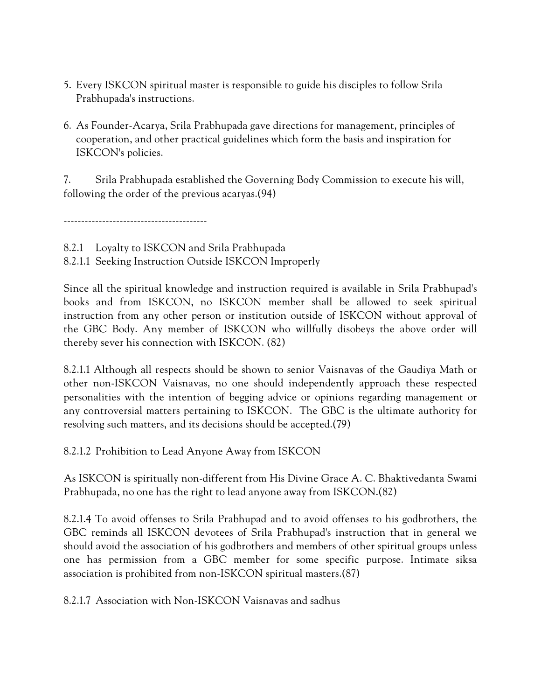- 5. Every ISKCON spiritual master is responsible to guide his disciples to follow Srila Prabhupada's instructions.
- 6. As Founder-Acarya, Srila Prabhupada gave directions for management, principles of cooperation, and other practical guidelines which form the basis and inspiration for ISKCON's policies.

7. Srila Prabhupada established the Governing Body Commission to execute his will, following the order of the previous acaryas.(94)

-----------------------------------------

8.2.1 Loyalty to ISKCON and Srila Prabhupada

8.2.1.1 Seeking Instruction Outside ISKCON Improperly

Since all the spiritual knowledge and instruction required is available in Srila Prabhupad's books and from ISKCON, no ISKCON member shall be allowed to seek spiritual instruction from any other person or institution outside of ISKCON without approval of the GBC Body. Any member of ISKCON who willfully disobeys the above order will thereby sever his connection with ISKCON. (82)

8.2.1.1 Although all respects should be shown to senior Vaisnavas of the Gaudiya Math or other non-ISKCON Vaisnavas, no one should independently approach these respected personalities with the intention of begging advice or opinions regarding management or any controversial matters pertaining to ISKCON. The GBC is the ultimate authority for resolving such matters, and its decisions should be accepted.(79)

8.2.1.2 Prohibition to Lead Anyone Away from ISKCON

As ISKCON is spiritually non-different from His Divine Grace A. C. Bhaktivedanta Swami Prabhupada, no one has the right to lead anyone away from ISKCON.(82)

8.2.1.4 To avoid offenses to Srila Prabhupad and to avoid offenses to his godbrothers, the GBC reminds all ISKCON devotees of Srila Prabhupad's instruction that in general we should avoid the association of his godbrothers and members of other spiritual groups unless one has permission from a GBC member for some specific purpose. Intimate siksa association is prohibited from non-ISKCON spiritual masters.(87)

8.2.1.7 Association with Non-ISKCON Vaisnavas and sadhus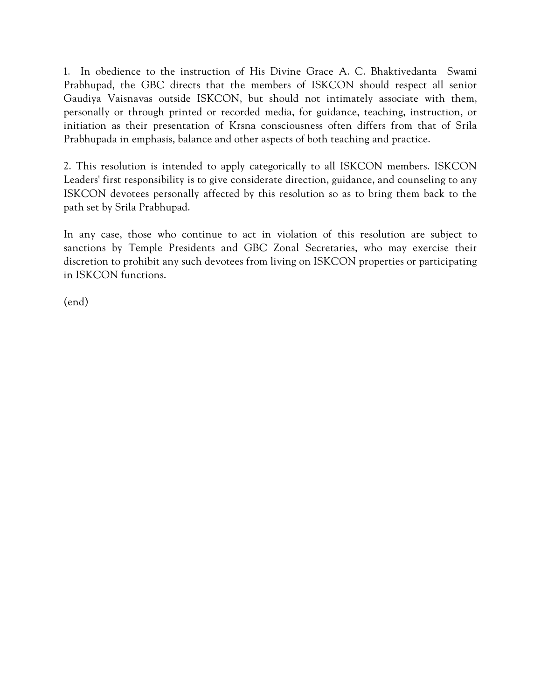1. In obedience to the instruction of His Divine Grace A. C. Bhaktivedanta Swami Prabhupad, the GBC directs that the members of ISKCON should respect all senior Gaudiya Vaisnavas outside ISKCON, but should not intimately associate with them, personally or through printed or recorded media, for guidance, teaching, instruction, or initiation as their presentation of Krsna consciousness often differs from that of Srila Prabhupada in emphasis, balance and other aspects of both teaching and practice.

2. This resolution is intended to apply categorically to all ISKCON members. ISKCON Leaders' first responsibility is to give considerate direction, guidance, and counseling to any ISKCON devotees personally affected by this resolution so as to bring them back to the path set by Srila Prabhupad.

In any case, those who continue to act in violation of this resolution are subject to sanctions by Temple Presidents and GBC Zonal Secretaries, who may exercise their discretion to prohibit any such devotees from living on ISKCON properties or participating in ISKCON functions.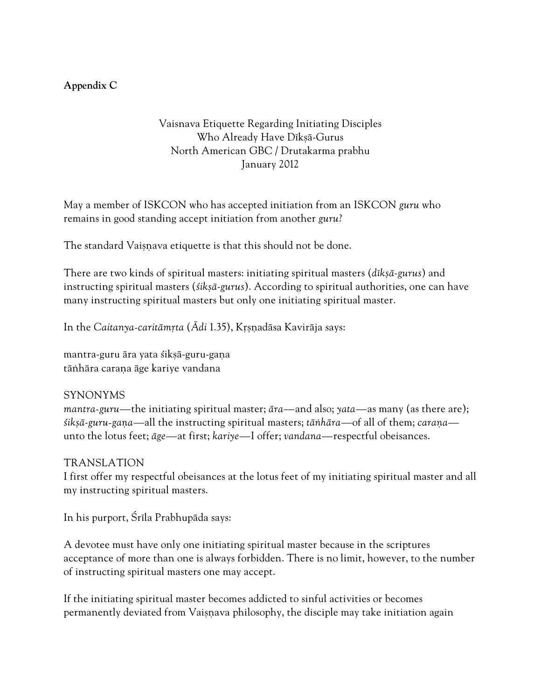### **Appendix C**

Vaisnava Etiquette Regarding Initiating Disciples Who Already Have Dīksā-Gurus North American GBC / Drutakarma prabhu January 2012

May a member of ISKCON who has accepted initiation from an ISKCON *guru* who remains in good standing accept initiation from another *guru*?

The standard Vaisnava etiquette is that this should not be done.

There are two kinds of spiritual masters: initiating spiritual masters (*dékñä*-*gurus*) and instructing spiritual masters (*sikṣā-gurus*). According to spiritual authorities, one can have many instructing spiritual masters but only one initiating spiritual master.

In the *Caitanya-caritāmrta* (*Ādi* 1.35), Krsnadāsa Kavirāja says:

mantra-guru āra yata sikṣā-guru-gaṇa tāṅhāra caraṇa āge kariye vandana

#### SYNONYMS

*mantra-guru—*the initiating spiritual master; *ära—*and also; *yata—*as many (as there are); *fikṣā-guru-gaṇa—all the instructing spiritual masters; <i>tāṅhāra—of all of them; caraṇa* unto the lotus feet; *äge—*at first; *kariye—*I offer; *vandana—*respectful obeisances.

### TRANSLATION

I first offer my respectful obeisances at the lotus feet of my initiating spiritual master and all my instructing spiritual masters.

In his purport, Śrīla Prabhupāda says:

A devotee must have only one initiating spiritual master because in the scriptures acceptance of more than one is always forbidden. There is no limit, however, to the number of instructing spiritual masters one may accept.

If the initiating spiritual master becomes addicted to sinful activities or becomes permanently deviated from Vaisnava philosophy, the disciple may take initiation again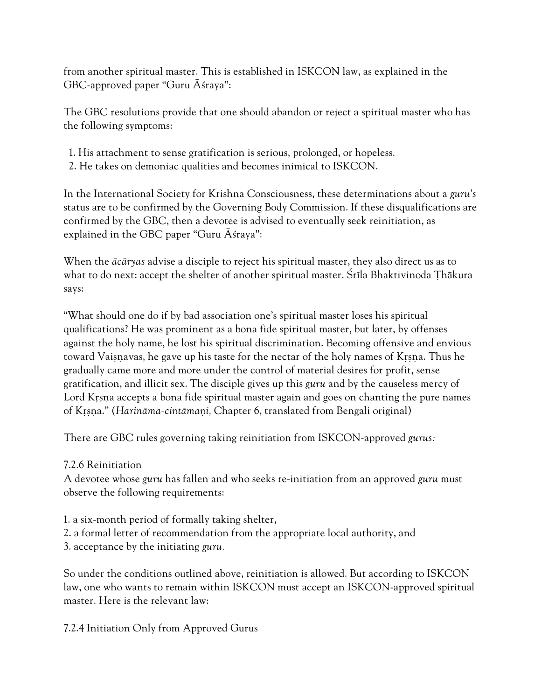from another spiritual master. This is established in ISKCON law, as explained in the GBC-approved paper "Guru  $\bar{A}$ straya":

The GBC resolutions provide that one should abandon or reject a spiritual master who has the following symptoms:

- 1. His attachment to sense gratification is serious, prolonged, or hopeless.
- 2. He takes on demoniac qualities and becomes inimical to ISKCON.

In the International Society for Krishna Consciousness, these determinations about a *guru's*  status are to be confirmed by the Governing Body Commission. If these disqualifications are confirmed by the GBC, then a devotee is advised to eventually seek reinitiation, as explained in the GBC paper "Guru  $\bar{A}$ straya":

When the *äcäryas* advise a disciple to reject his spiritual master, they also direct us as to what to do next: accept the shelter of another spiritual master. Śrīla Bhaktivinoda Thākura says:

"What should one do if by bad association one's spiritual master loses his spiritual qualifications? He was prominent as a bona fide spiritual master, but later, by offenses against the holy name, he lost his spiritual discrimination. Becoming offensive and envious toward Vaisnavas, he gave up his taste for the nectar of the holy names of Krsna. Thus he gradually came more and more under the control of material desires for profit, sense gratification, and illicit sex. The disciple gives up this *guru* and by the causeless mercy of Lord Krsna accepts a bona fide spiritual master again and goes on chanting the pure names of Kåñëa." (*Harinäma-cintämaëi,* Chapter 6, translated from Bengali original)

There are GBC rules governing taking reinitiation from ISKCON-approved *gurus:*

# 7.2.6 Reinitiation

A devotee whose *guru* has fallen and who seeks re-initiation from an approved *guru* must observe the following requirements:

- 1. a six-month period of formally taking shelter,
- 2. a formal letter of recommendation from the appropriate local authority, and
- 3. acceptance by the initiating *guru.*

So under the conditions outlined above, reinitiation is allowed. But according to ISKCON law, one who wants to remain within ISKCON must accept an ISKCON-approved spiritual master. Here is the relevant law:

# 7.2.4 Initiation Only from Approved Gurus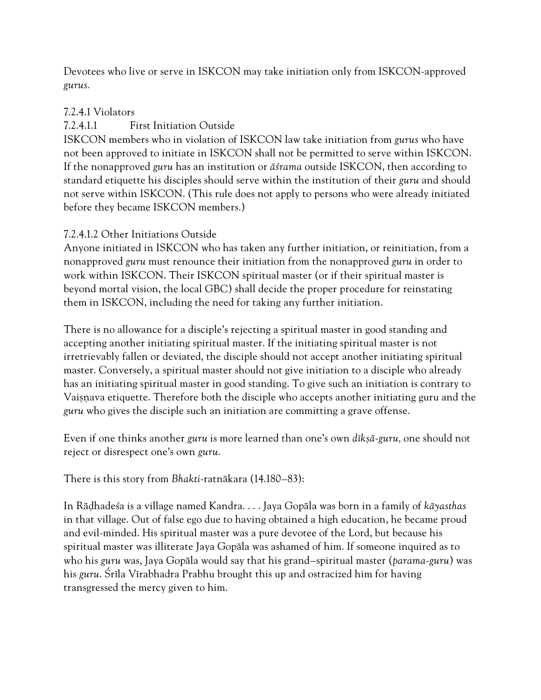Devotees who live or serve in ISKCON may take initiation only from ISKCON-approved *gurus.*

### 7.2.4.1 Violators

### 7.2.4.1.1 First Initiation Outside

ISKCON members who in violation of ISKCON law take initiation from *gurus* who have not been approved to initiate in ISKCON shall not be permitted to serve within ISKCON. If the nonapproved *guru* has an institution or *äçrama* outside ISKCON, then according to standard etiquette his disciples should serve within the institution of their *guru* and should not serve within ISKCON. (This rule does not apply to persons who were already initiated before they became ISKCON members.)

### 7.2.4.1.2 Other Initiations Outside

Anyone initiated in ISKCON who has taken any further initiation, or reinitiation, from a nonapproved *guru* must renounce their initiation from the nonapproved *guru* in order to work within ISKCON. Their ISKCON spiritual master (or if their spiritual master is beyond mortal vision, the local GBC) shall decide the proper procedure for reinstating them in ISKCON, including the need for taking any further initiation.

There is no allowance for a disciple's rejecting a spiritual master in good standing and accepting another initiating spiritual master. If the initiating spiritual master is not irretrievably fallen or deviated, the disciple should not accept another initiating spiritual master. Conversely, a spiritual master should not give initiation to a disciple who already has an initiating spiritual master in good standing. To give such an initiation is contrary to Vaisnava etiquette. Therefore both the disciple who accepts another initiating guru and the *guru* who gives the disciple such an initiation are committing a grave offense.

Even if one thinks another *guru* is more learned than one's own *dékñä*-*guru,* one should not reject or disrespect one's own *guru*.

There is this story from *Bhakti*-ratnäkara (14.180–83):

In Räòhadeça is a village named Kandra. . . . Jaya Gopäla was born in a family of *käyasthas*  in that village. Out of false ego due to having obtained a high education, he became proud and evil-minded. His spiritual master was a pure devotee of the Lord, but because his spiritual master was illiterate Jaya Gopäla was ashamed of him. If someone inquired as to who his *guru* was, Jaya Gopäla would say that his grand–spiritual master (*parama*-*guru*) was his *guru*. Çréla Vérabhadra Prabhu brought this up and ostracized him for having transgressed the mercy given to him.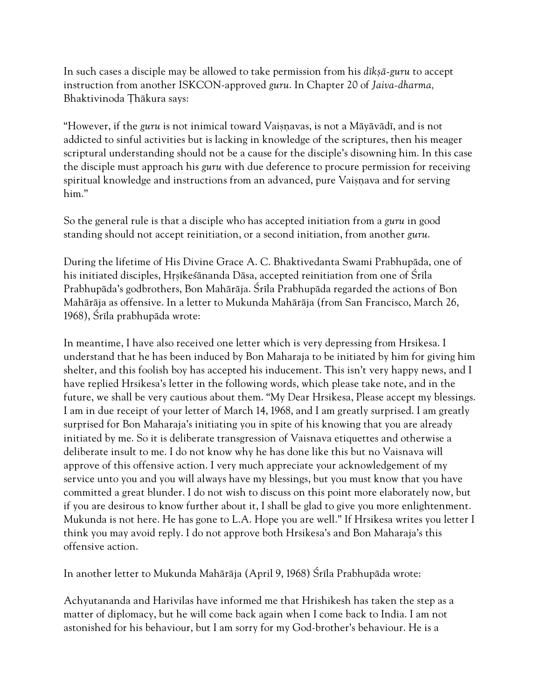In such cases a disciple may be allowed to take permission from his *dik*ş*ā-guru* to accept instruction from another ISKCON-approved *guru*. In Chapter 20 of *Jaiva-dharma,*  Bhaktivinoda Thākura says:

"However, if the *guru* is not inimical toward Vaisnavas, is not a Māyāvādī, and is not addicted to sinful activities but is lacking in knowledge of the scriptures, then his meager scriptural understanding should not be a cause for the disciple's disowning him. In this case the disciple must approach his *guru* with due deference to procure permission for receiving spiritual knowledge and instructions from an advanced, pure Vaisnava and for serving him."

So the general rule is that a disciple who has accepted initiation from a *guru* in good standing should not accept reinitiation, or a second initiation, from another *guru*.

During the lifetime of His Divine Grace A. C. Bhaktivedanta Swami Prabhupäda, one of his initiated disciples, Hrsīkesānanda Dāsa, accepted reinitiation from one of Śrīla Prabhupāda's godbrothers, Bon Mahārāja. Śrīla Prabhupāda regarded the actions of Bon Mahäräja as offensive. In a letter to Mukunda Mahäräja (from San Francisco, March 26, 1968), Śrīla prabhupāda wrote:

In meantime, I have also received one letter which is very depressing from Hrsikesa. I understand that he has been induced by Bon Maharaja to be initiated by him for giving him shelter, and this foolish boy has accepted his inducement. This isn't very happy news, and I have replied Hrsikesa's letter in the following words, which please take note, and in the future, we shall be very cautious about them. "My Dear Hrsikesa, Please accept my blessings. I am in due receipt of your letter of March 14, 1968, and I am greatly surprised. I am greatly surprised for Bon Maharaja's initiating you in spite of his knowing that you are already initiated by me. So it is deliberate transgression of Vaisnava etiquettes and otherwise a deliberate insult to me. I do not know why he has done like this but no Vaisnava will approve of this offensive action. I very much appreciate your acknowledgement of my service unto you and you will always have my blessings, but you must know that you have committed a great blunder. I do not wish to discuss on this point more elaborately now, but if you are desirous to know further about it, I shall be glad to give you more enlightenment. Mukunda is not here. He has gone to L.A. Hope you are well." If Hrsikesa writes you letter I think you may avoid reply. I do not approve both Hrsikesa's and Bon Maharaja's this offensive action.

In another letter to Mukunda Mahārāja (April 9, 1968) Śrīla Prabhupāda wrote:

Achyutananda and Harivilas have informed me that Hrishikesh has taken the step as a matter of diplomacy, but he will come back again when I come back to India. I am not astonished for his behaviour, but I am sorry for my God-brother's behaviour. He is a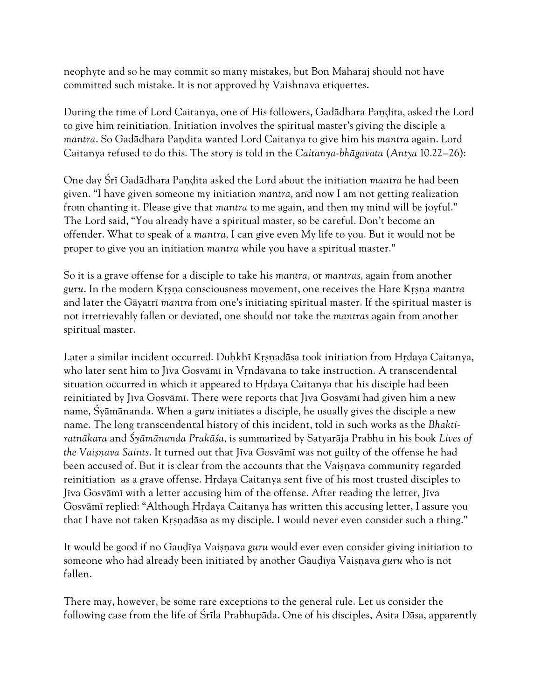neophyte and so he may commit so many mistakes, but Bon Maharaj should not have committed such mistake. It is not approved by Vaishnava etiquettes.

During the time of Lord Caitanya, one of His followers, Gadadhara Pandita, asked the Lord to give him reinitiation. Initiation involves the spiritual master's giving the disciple a *mantra*. So Gadādhara Pandita wanted Lord Caitanya to give him his *mantra* again. Lord Caitanya refused to do this. The story is told in the *Caitanya*-*bhägavata* (*Antya* 10.22–26):

One day Śrī Gadādhara Pandita asked the Lord about the initiation *mantra* he had been given. "I have given someone my initiation *mantra,* and now I am not getting realization from chanting it. Please give that *mantra* to me again, and then my mind will be joyful." The Lord said, "You already have a spiritual master, so be careful. Don't become an offender. What to speak of a *mantra,* I can give even My life to you. But it would not be proper to give you an initiation *mantra* while you have a spiritual master."

So it is a grave offense for a disciple to take his *mantra,* or *mantras,* again from another *guru*. In the modern Kåñëa consciousness movement, one receives the Hare Kåñëa *mantra*  and later the Gāyatrī *mantra* from one's initiating spiritual master. If the spiritual master is not irretrievably fallen or deviated, one should not take the *mantras* again from another spiritual master.

Later a similar incident occurred. Duhkhī Krsnadāsa took initiation from Hrdaya Caitanya, who later sent him to Jīva Gosvāmī in Vrndāvana to take instruction. A transcendental situation occurred in which it appeared to Hrdaya Caitanya that his disciple had been reinitiated by Jīva Gosvāmī. There were reports that Jīva Gosvāmī had given him a new name, Çyämänanda. When a *guru* initiates a disciple, he usually gives the disciple a new name. The long transcendental history of this incident, told in such works as the *Bhaktiratnäkara* and *Çyämänanda Prakäça,* is summarized by Satyaräja Prabhu in his book *Lives of*  the Vaișnava Saints. It turned out that Jīva Gosvāmī was not guilty of the offense he had been accused of. But it is clear from the accounts that the Vaisnava community regarded reinitiation as a grave offense. Hidaya Caitanya sent five of his most trusted disciples to Jiva Gosvāmi with a letter accusing him of the offense. After reading the letter, Jiva Gosvāmī replied: "Although Hrdaya Caitanya has written this accusing letter, I assure you that I have not taken Krsnadāsa as my disciple. I would never even consider such a thing."

It would be good if no Gaudiya Vaisnava *guru* would ever even consider giving initiation to someone who had already been initiated by another Gaudīya Vaisnava *guru* who is not fallen.

There may, however, be some rare exceptions to the general rule. Let us consider the following case from the life of Śrīla Prabhupāda. One of his disciples, Asita Dāsa, apparently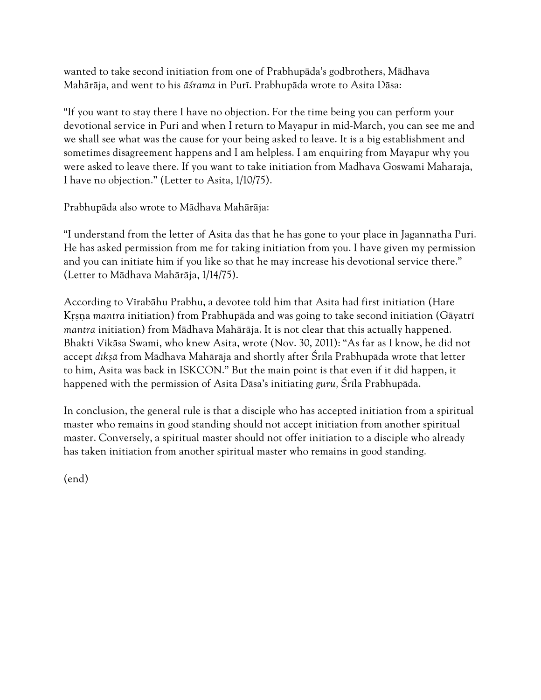wanted to take second initiation from one of Prabhupäda's godbrothers, Mädhava Mahäräja, and went to his *äçrama* in Puré. Prabhupäda wrote to Asita Däsa:

"If you want to stay there I have no objection. For the time being you can perform your devotional service in Puri and when I return to Mayapur in mid-March, you can see me and we shall see what was the cause for your being asked to leave. It is a big establishment and sometimes disagreement happens and I am helpless. I am enquiring from Mayapur why you were asked to leave there. If you want to take initiation from Madhava Goswami Maharaja, I have no objection." (Letter to Asita, 1/10/75).

Prabhupäda also wrote to Mädhava Mahäräja:

"I understand from the letter of Asita das that he has gone to your place in Jagannatha Puri. He has asked permission from me for taking initiation from you. I have given my permission and you can initiate him if you like so that he may increase his devotional service there." (Letter to Mädhava Mahäräja, 1/14/75).

According to Vérabähu Prabhu, a devotee told him that Asita had first initiation (Hare Krsna *mantra* initiation) from Prabhupāda and was going to take second initiation (Gāyatrī *mantra* initiation) from Mädhava Mahäräja. It is not clear that this actually happened. Bhakti Vikäsa Swami, who knew Asita, wrote (Nov. 30, 2011): "As far as I know, he did not accept *dīksā* from Mādhava Mahārāja and shortly after Śrīla Prabhupāda wrote that letter to him, Asita was back in ISKCON." But the main point is that even if it did happen, it happened with the permission of Asita Dāsa's initiating *guru*, Śrīla Prabhupāda.

In conclusion, the general rule is that a disciple who has accepted initiation from a spiritual master who remains in good standing should not accept initiation from another spiritual master. Conversely, a spiritual master should not offer initiation to a disciple who already has taken initiation from another spiritual master who remains in good standing.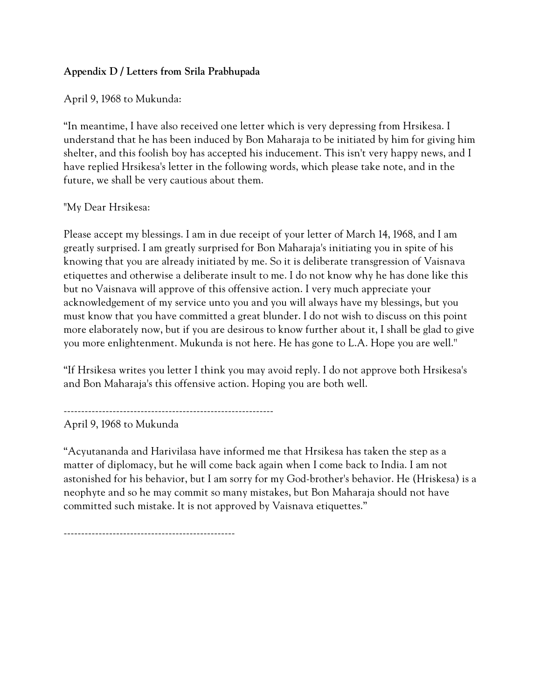### **Appendix D / Letters from Srila Prabhupada**

April 9, 1968 to Mukunda:

"In meantime, I have also received one letter which is very depressing from Hrsikesa. I understand that he has been induced by Bon Maharaja to be initiated by him for giving him shelter, and this foolish boy has accepted his inducement. This isn't very happy news, and I have replied Hrsikesa's letter in the following words, which please take note, and in the future, we shall be very cautious about them.

### "My Dear Hrsikesa:

Please accept my blessings. I am in due receipt of your letter of March 14, 1968, and I am greatly surprised. I am greatly surprised for Bon Maharaja's initiating you in spite of his knowing that you are already initiated by me. So it is deliberate transgression of Vaisnava etiquettes and otherwise a deliberate insult to me. I do not know why he has done like this but no Vaisnava will approve of this offensive action. I very much appreciate your acknowledgement of my service unto you and you will always have my blessings, but you must know that you have committed a great blunder. I do not wish to discuss on this point more elaborately now, but if you are desirous to know further about it, I shall be glad to give you more enlightenment. Mukunda is not here. He has gone to L.A. Hope you are well.''

"If Hrsikesa writes you letter I think you may avoid reply. I do not approve both Hrsikesa's and Bon Maharaja's this offensive action. Hoping you are both well.

------------------------------------------------------------

April 9, 1968 to Mukunda

"Acyutananda and Harivilasa have informed me that Hrsikesa has taken the step as a matter of diplomacy, but he will come back again when I come back to India. I am not astonished for his behavior, but I am sorry for my God-brother's behavior. He (Hriskesa) is a neophyte and so he may commit so many mistakes, but Bon Maharaja should not have committed such mistake. It is not approved by Vaisnava etiquettes."

-------------------------------------------------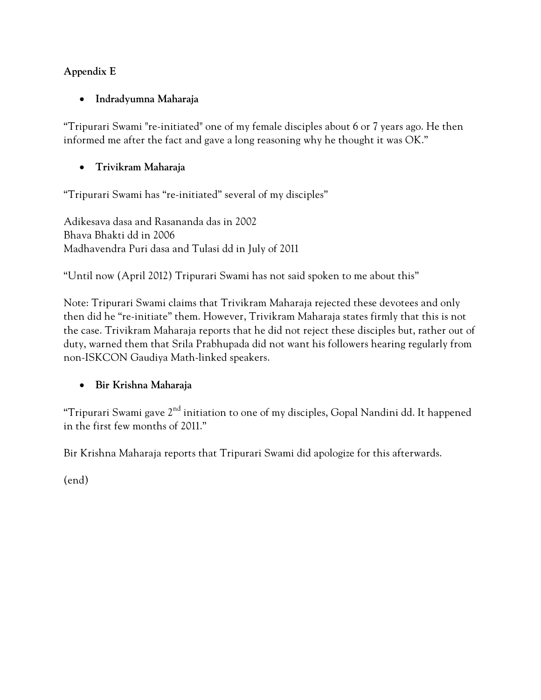# **Appendix E**

### **Indradyumna Maharaja**

"Tripurari Swami "re-initiated" one of my female disciples about 6 or 7 years ago. He then informed me after the fact and gave a long reasoning why he thought it was OK."

# **Trivikram Maharaja**

"Tripurari Swami has "re-initiated" several of my disciples"

Adikesava dasa and Rasananda das in 2002 Bhava Bhakti dd in 2006 Madhavendra Puri dasa and Tulasi dd in July of 2011

"Until now (April 2012) Tripurari Swami has not said spoken to me about this"

Note: Tripurari Swami claims that Trivikram Maharaja rejected these devotees and only then did he "re-initiate" them. However, Trivikram Maharaja states firmly that this is not the case. Trivikram Maharaja reports that he did not reject these disciples but, rather out of duty, warned them that Srila Prabhupada did not want his followers hearing regularly from non-ISKCON Gaudiya Math-linked speakers.

# **Bir Krishna Maharaja**

"Tripurari Swami gave  $2<sup>nd</sup>$  initiation to one of my disciples, Gopal Nandini dd. It happened in the first few months of 2011."

Bir Krishna Maharaja reports that Tripurari Swami did apologize for this afterwards.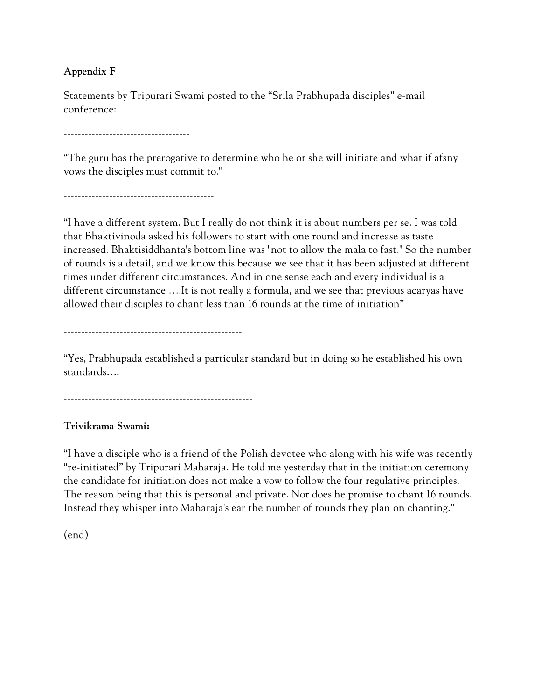### **Appendix F**

Statements by Tripurari Swami posted to the "Srila Prabhupada disciples" e-mail conference:

------------------------------------

"The guru has the prerogative to determine who he or she will initiate and what if afsny vows the disciples must commit to."

"I have a different system. But I really do not think it is about numbers per se. I was told that Bhaktivinoda asked his followers to start with one round and increase as taste increased. Bhaktisiddhanta's bottom line was "not to allow the mala to fast." So the number of rounds is a detail, and we know this because we see that it has been adjusted at different times under different circumstances. And in one sense each and every individual is a different circumstance ….It is not really a formula, and we see that previous acaryas have allowed their disciples to chant less than 16 rounds at the time of initiation"

---------------------------------------------------

"Yes, Prabhupada established a particular standard but in doing so he established his own standards….

------------------------------------------------------

### **Trivikrama Swami:**

"I have a disciple who is a friend of the Polish devotee who along with his wife was recently "re-initiated" by Tripurari Maharaja. He told me yesterday that in the initiation ceremony the candidate for initiation does not make a vow to follow the four regulative principles. The reason being that this is personal and private. Nor does he promise to chant 16 rounds. Instead they whisper into Maharaja's ear the number of rounds they plan on chanting."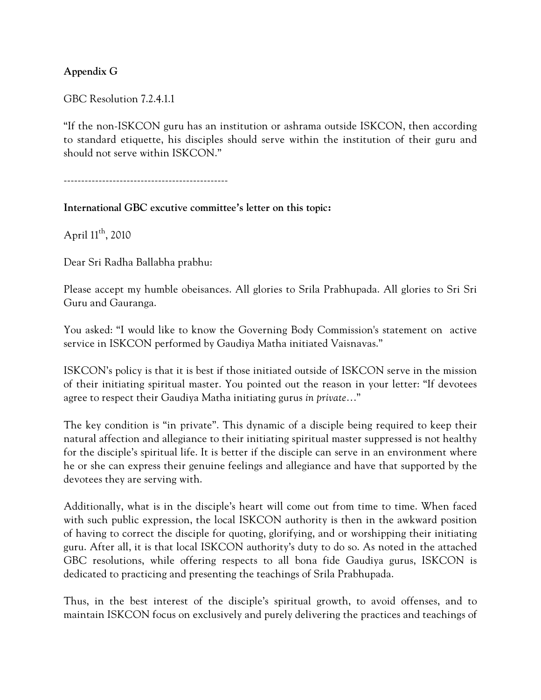### **Appendix G**

GBC Resolution 7.2.4.1.1

"If the non-ISKCON guru has an institution or ashrama outside ISKCON, then according to standard etiquette, his disciples should serve within the institution of their guru and should not serve within ISKCON."

-----------------------------------------------

#### **International GBC excutive committee's letter on this topic:**

April 11<sup>th</sup>, 2010

Dear Sri Radha Ballabha prabhu:

Please accept my humble obeisances. All glories to Srila Prabhupada. All glories to Sri Sri Guru and Gauranga.

You asked: "I would like to know the Governing Body Commission's statement on active service in ISKCON performed by Gaudiya Matha initiated Vaisnavas."

ISKCON's policy is that it is best if those initiated outside of ISKCON serve in the mission of their initiating spiritual master. You pointed out the reason in your letter: "If devotees agree to respect their Gaudiya Matha initiating gurus *in private*…"

The key condition is "in private". This dynamic of a disciple being required to keep their natural affection and allegiance to their initiating spiritual master suppressed is not healthy for the disciple's spiritual life. It is better if the disciple can serve in an environment where he or she can express their genuine feelings and allegiance and have that supported by the devotees they are serving with.

Additionally, what is in the disciple's heart will come out from time to time. When faced with such public expression, the local ISKCON authority is then in the awkward position of having to correct the disciple for quoting, glorifying, and or worshipping their initiating guru. After all, it is that local ISKCON authority's duty to do so. As noted in the attached GBC resolutions, while offering respects to all bona fide Gaudiya gurus, ISKCON is dedicated to practicing and presenting the teachings of Srila Prabhupada.

Thus, in the best interest of the disciple's spiritual growth, to avoid offenses, and to maintain ISKCON focus on exclusively and purely delivering the practices and teachings of